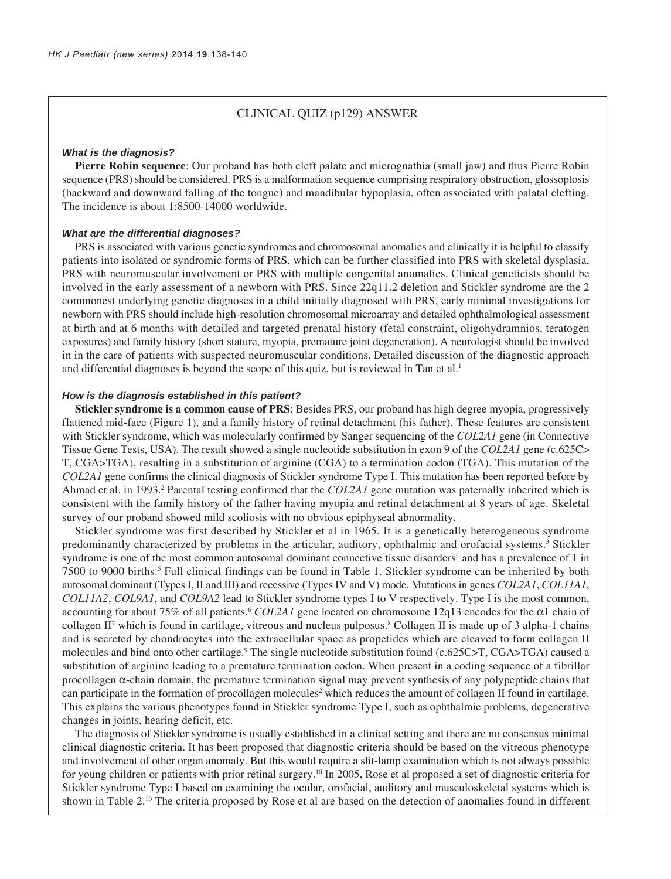## CLINICAL QUIZ (p129) ANSWER

#### *What is the diagnosis?*

**Pierre Robin sequence**: Our proband has both cleft palate and micrognathia (small jaw) and thus Pierre Robin sequence (PRS) should be considered. PRS is a malformation sequence comprising respiratory obstruction, glossoptosis (backward and downward falling of the tongue) and mandibular hypoplasia, often associated with palatal clefting. The incidence is about 1:8500-14000 worldwide.

#### *What are the differential diagnoses?*

PRS is associated with various genetic syndromes and chromosomal anomalies and clinically it is helpful to classify patients into isolated or syndromic forms of PRS, which can be further classified into PRS with skeletal dysplasia, PRS with neuromuscular involvement or PRS with multiple congenital anomalies. Clinical geneticists should be involved in the early assessment of a newborn with PRS. Since 22q11.2 deletion and Stickler syndrome are the 2 commonest underlying genetic diagnoses in a child initially diagnosed with PRS, early minimal investigations for newborn with PRS should include high-resolution chromosomal microarray and detailed ophthalmological assessment at birth and at 6 months with detailed and targeted prenatal history (fetal constraint, oligohydramnios, teratogen exposures) and family history (short stature, myopia, premature joint degeneration). A neurologist should be involved in in the care of patients with suspected neuromuscular conditions. Detailed discussion of the diagnostic approach and differential diagnoses is beyond the scope of this quiz, but is reviewed in Tan et al.<sup>1</sup>

#### *How is the diagnosis established in this patient?*

**Stickler syndrome is a common cause of PRS**: Besides PRS, our proband has high degree myopia, progressively flattened mid-face (Figure 1), and a family history of retinal detachment (his father). These features are consistent with Stickler syndrome, which was molecularly confirmed by Sanger sequencing of the *COL2A1* gene (in Connective Tissue Gene Tests, USA). The result showed a single nucleotide substitution in exon 9 of the *COL2A1* gene (c.625C> T, CGA>TGA), resulting in a substitution of arginine (CGA) to a termination codon (TGA). This mutation of the *COL2A1* gene confirms the clinical diagnosis of Stickler syndrome Type I. This mutation has been reported before by Ahmad et al. in 1993.<sup>2</sup> Parental testing confirmed that the *COL2A1* gene mutation was paternally inherited which is consistent with the family history of the father having myopia and retinal detachment at 8 years of age. Skeletal survey of our proband showed mild scoliosis with no obvious epiphyseal abnormality.

Stickler syndrome was first described by Stickler et al in 1965. It is a genetically heterogeneous syndrome predominantly characterized by problems in the articular, auditory, ophthalmic and orofacial systems.<sup>3</sup> Stickler syndrome is one of the most common autosomal dominant connective tissue disorders<sup>4</sup> and has a prevalence of 1 in 7500 to 9000 births.<sup>5</sup> Full clinical findings can be found in Table 1. Stickler syndrome can be inherited by both autosomal dominant (Types I, II and III) and recessive (Types IV and V) mode. Mutations in genes *COL2A1*, *COL11A1*, *COL11A2*, *COL9A1*, and *COL9A2* lead to Stickler syndrome types I to V respectively. Type I is the most common, accounting for about 75% of all patients.<sup>6</sup> *COL2A1* gene located on chromosome 12q13 encodes for the  $\alpha$ 1 chain of collagen II<sup>7</sup> which is found in cartilage, vitreous and nucleus pulposus.<sup>8</sup> Collagen II is made up of 3 alpha-1 chains and is secreted by chondrocytes into the extracellular space as propetides which are cleaved to form collagen II molecules and bind onto other cartilage.<sup>9</sup> The single nucleotide substitution found (c.625C>T, CGA>TGA) caused a substitution of arginine leading to a premature termination codon. When present in a coding sequence of a fibrillar procollagen α-chain domain, the premature termination signal may prevent synthesis of any polypeptide chains that can participate in the formation of procollagen molecules<sup>2</sup> which reduces the amount of collagen II found in cartilage. This explains the various phenotypes found in Stickler syndrome Type I, such as ophthalmic problems, degenerative changes in joints, hearing deficit, etc.

The diagnosis of Stickler syndrome is usually established in a clinical setting and there are no consensus minimal clinical diagnostic criteria. It has been proposed that diagnostic criteria should be based on the vitreous phenotype and involvement of other organ anomaly. But this would require a slit-lamp examination which is not always possible for young children or patients with prior retinal surgery.10 In 2005, Rose et al proposed a set of diagnostic criteria for Stickler syndrome Type I based on examining the ocular, orofacial, auditory and musculoskeletal systems which is shown in Table 2.10 The criteria proposed by Rose et al are based on the detection of anomalies found in different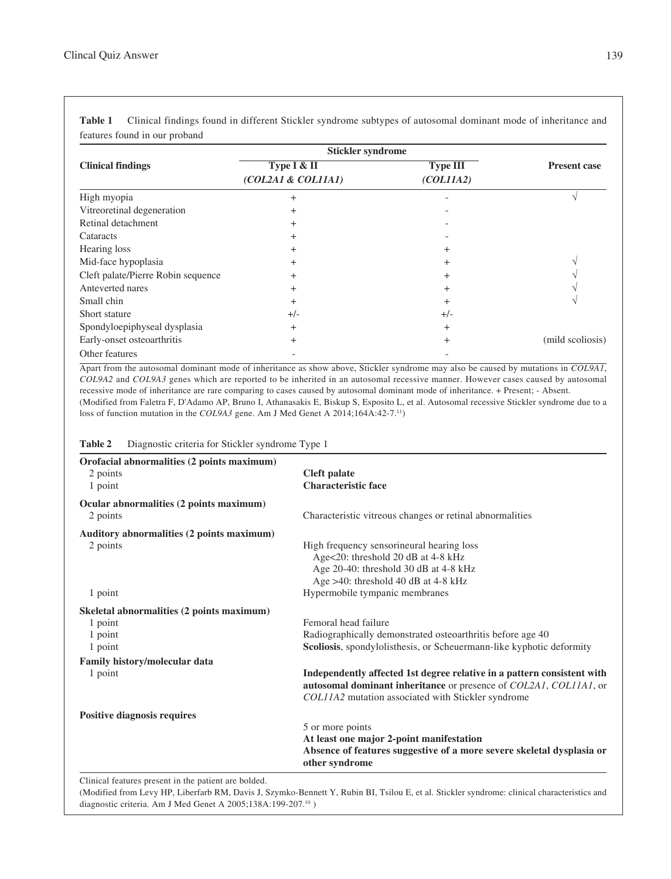|                                    | <b>Stickler syndrome</b>          |                              |                     |
|------------------------------------|-----------------------------------|------------------------------|---------------------|
| <b>Clinical findings</b>           | Type I & II<br>(COL2A1 & COL11A1) | <b>Type III</b><br>(COLIIA2) | <b>Present case</b> |
|                                    |                                   |                              |                     |
| Vitreoretinal degeneration         | $^{+}$                            |                              |                     |
| Retinal detachment                 | $^{+}$                            |                              |                     |
| Cataracts                          | $^{+}$                            |                              |                     |
| Hearing loss                       | $\overline{+}$                    |                              |                     |
| Mid-face hypoplasia                | $^{+}$                            |                              |                     |
| Cleft palate/Pierre Robin sequence | $^{+}$                            | $^+$                         |                     |
| Anteverted nares                   | $^{+}$                            | $^+$                         |                     |
| Small chin                         | $^{+}$                            | $\pm$                        |                     |
| Short stature                      | $+/-$                             | $+/-$                        |                     |
| Spondyloepiphyseal dysplasia       | $^{+}$                            | $^{+}$                       |                     |
| Early-onset osteoarthritis         | $^{+}$                            | $^+$                         | (mild scoliosis)    |
| Other features                     |                                   |                              |                     |

**Table 1** Clinical findings found in different Stickler syndrome subtypes of autosomal dominant mode of inheritance and features found in our proband

Apart from the autosomal dominant mode of inheritance as show above, Stickler syndrome may also be caused by mutations in *COL9A1*, *COL9A2* and *COL9A3* genes which are reported to be inherited in an autosomal recessive manner. However cases caused by autosomal recessive mode of inheritance are rare comparing to cases caused by autosomal dominant mode of inheritance. + Present; - Absent. (Modified from Faletra F, D'Adamo AP, Bruno I, Athanasakis E, Biskup S, Esposito L, et al. Autosomal recessive Stickler syndrome due to a loss of function mutation in the *COL9A3* gene. Am J Med Genet A 2014;164A:42-7.<sup>11</sup>)

| Orofacial abnormalities (2 points maximum) |                                                                                                                                                                                                    |
|--------------------------------------------|----------------------------------------------------------------------------------------------------------------------------------------------------------------------------------------------------|
| 2 points                                   | <b>Cleft</b> palate                                                                                                                                                                                |
| 1 point                                    | <b>Characteristic face</b>                                                                                                                                                                         |
| Ocular abnormalities (2 points maximum)    |                                                                                                                                                                                                    |
| 2 points                                   | Characteristic vitreous changes or retinal abnormalities                                                                                                                                           |
| Auditory abnormalities (2 points maximum)  |                                                                                                                                                                                                    |
| 2 points                                   | High frequency sensorineural hearing loss                                                                                                                                                          |
|                                            | Age<20: threshold 20 dB at 4-8 kHz                                                                                                                                                                 |
|                                            | Age 20-40: threshold 30 dB at 4-8 kHz                                                                                                                                                              |
|                                            | Age $>40$ : threshold 40 dB at 4-8 kHz                                                                                                                                                             |
| 1 point                                    | Hypermobile tympanic membranes                                                                                                                                                                     |
| Skeletal abnormalities (2 points maximum)  |                                                                                                                                                                                                    |
| 1 point                                    | Femoral head failure                                                                                                                                                                               |
| 1 point                                    | Radiographically demonstrated osteoarthritis before age 40                                                                                                                                         |
| 1 point                                    | Scoliosis, spondylolisthesis, or Scheuermann-like kyphotic deformity                                                                                                                               |
| <b>Family history/molecular data</b>       |                                                                                                                                                                                                    |
| 1 point                                    | Independently affected 1st degree relative in a pattern consistent with<br>autosomal dominant inheritance or presence of COL2A1, COL11A1, or<br>COL11A2 mutation associated with Stickler syndrome |
| <b>Positive diagnosis requires</b>         |                                                                                                                                                                                                    |
|                                            | 5 or more points                                                                                                                                                                                   |
|                                            | At least one major 2-point manifestation                                                                                                                                                           |
|                                            | Absence of features suggestive of a more severe skeletal dysplasia or<br>other syndrome                                                                                                            |

**Table 2** Diagnostic criteria for Stickler syndrome Type 1

Clinical features present in the patient are bolded.

(Modified from Levy HP, Liberfarb RM, Davis J, Szymko-Bennett Y, Rubin BI, Tsilou E, et al. Stickler syndrome: clinical characteristics and diagnostic criteria. Am J Med Genet A 2005;138A:199-207.10 )